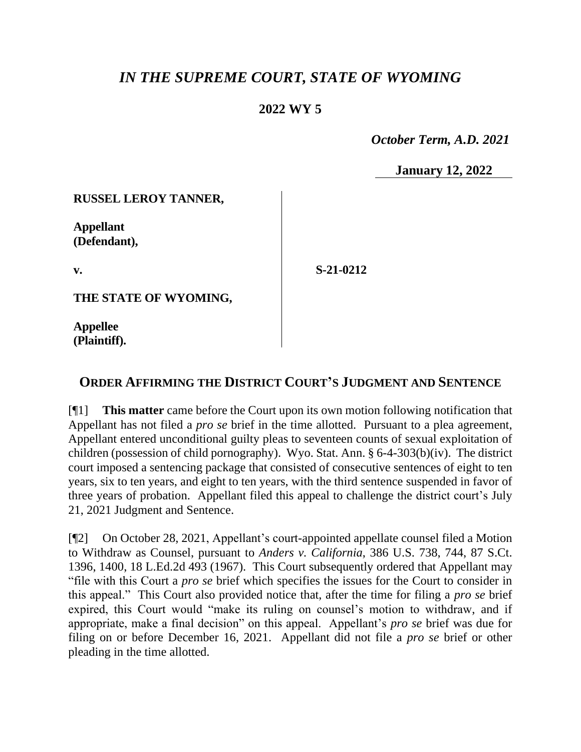# *IN THE SUPREME COURT, STATE OF WYOMING*

## **2022 WY 5**

 *October Term, A.D. 2021*

**January 12, 2022**

#### **RUSSEL LEROY TANNER,**

**Appellant (Defendant),**

**v.**

**S-21-0212**

**THE STATE OF WYOMING,**

**Appellee (Plaintiff).**

## **ORDER AFFIRMING THE DISTRICT COURT'S JUDGMENT AND SENTENCE**

[¶1] **This matter** came before the Court upon its own motion following notification that Appellant has not filed a *pro se* brief in the time allotted. Pursuant to a plea agreement, Appellant entered unconditional guilty pleas to seventeen counts of sexual exploitation of children (possession of child pornography). Wyo. Stat. Ann. § 6-4-303(b)(iv). The district court imposed a sentencing package that consisted of consecutive sentences of eight to ten years, six to ten years, and eight to ten years, with the third sentence suspended in favor of three years of probation. Appellant filed this appeal to challenge the district court's July 21, 2021 Judgment and Sentence.

[¶2] On October 28, 2021, Appellant's court-appointed appellate counsel filed a Motion to Withdraw as Counsel, pursuant to *Anders v. California*, 386 U.S. 738, 744, 87 S.Ct. 1396, 1400, 18 L.Ed.2d 493 (1967). This Court subsequently ordered that Appellant may "file with this Court a *pro se* brief which specifies the issues for the Court to consider in this appeal." This Court also provided notice that, after the time for filing a *pro se* brief expired, this Court would "make its ruling on counsel's motion to withdraw, and if appropriate, make a final decision" on this appeal. Appellant's *pro se* brief was due for filing on or before December 16, 2021. Appellant did not file a *pro se* brief or other pleading in the time allotted.